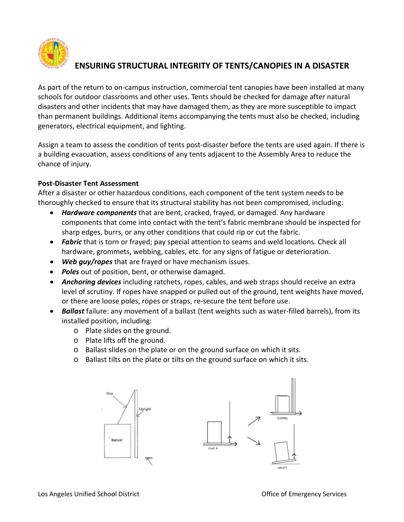

# **ENSURING STRUCTURAL INTEGRITY OF TENTS/CANOPIES IN A DISASTER**

As part of the return to on-campus instruction, commercial tent canopies have been installed at many schools for outdoor classrooms and other uses. Tents should be checked for damage after natural disasters and other incidents that may have damaged them, as they are more susceptible to impact than permanent buildings. Additional items accompanying the tents must also be checked, including generators, electrical equipment, and lighting.

Assign a team to assess the condition of tents post-disaster before the tents are used again. If there is a building evacuation, assess conditions of any tents adjacent to the Assembly Area to reduce the chance of injury.

### **Post-Disaster Tent Assessment**

After a disaster or other hazardous conditions, each component of the tent system needs to be thoroughly checked to ensure that its structural stability has not been compromised, including:

- *Hardware components* that are bent, cracked, frayed, or damaged. Any hardware components that come into contact with the tent's fabric membrane should be inspected for sharp edges, burrs, or any other conditions that could rip or cut the fabric.
- *Fabric* that is torn or frayed; pay special attention to seams and weld locations. Check all hardware, grommets, webbing, cables, etc. for any signs of fatigue or deterioration.
- *Web guy/ropes* that are frayed or have mechanism issues.
- *Poles* out of position, bent, or otherwise damaged.
- *Anchoring devices* including ratchets, ropes, cables, and web straps should receive an extra level of scrutiny. If ropes have snapped or pulled out of the ground, tent weights have moved, or there are loose poles, ropes or straps, re-secure the tent before use.
- *Ballast* failure: any movement of a ballast (tent weights such as water-filled barrels), from its installed position, including:
	- o Plate slides on the ground.
	- o Plate lifts off the ground.
	- o Ballast slides on the plate or on the ground surface on which it sits.
	- o Ballast tilts on the plate or tilts on the ground surface on which it sits.